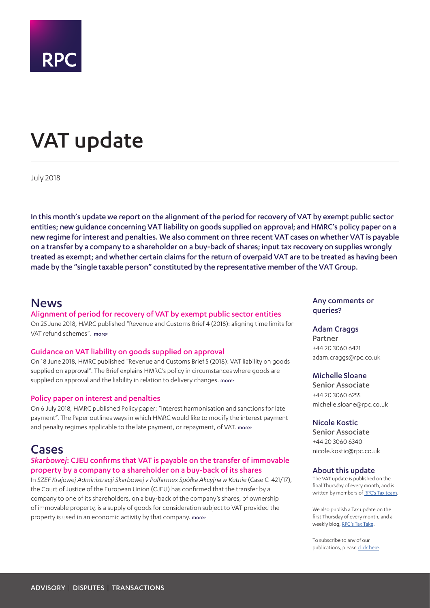

# VAT update

July 2018

In this month's update we report on the alignment of the period for recovery of VAT by exempt public sector entities; new guidance concerning VAT liability on goods supplied on approval; and HMRC's policy paper on a new regime for interest and penalties. We also comment on three recent VAT cases on whether VAT is payable on a transfer by a company to a shareholder on a buy-back of shares; input tax recovery on supplies wrongly treated as exempt; and whether certain claims for the return of overpaid VAT are to be treated as having been made by the "single taxable person" constituted by the representative member of the VAT Group.

# <span id="page-0-0"></span>News

#### Alignment of period for recovery of VAT by exempt public sector entities

On 25 June 2018, HMRC published "Revenue and Customs Brief 4 (2018): aligning time limits for VAT refund schemes". [more>](#page-2-0)

#### Guidance on VAT liability on goods supplied on approval

On 18 June 2018, HMRC published "Revenue and Customs Brief 5 (2018): VAT liability on goods supplied on approval". The Brief explains HMRC's policy in circumstances where goods are supplied on approval and the liability in relation to delivery changes. [more>](#page-2-1)

#### Policy paper on interest and penalties

On 6 July 2018, HMRC published Policy paper: "Interest harmonisation and sanctions for late payment". The Paper outlines ways in which HMRC would like to modify the interest payment and penalty regimes applicable to the late payment, or repayment, of VAT. [more>](#page-2-2)

# Cases

# *Skarbowej*: CJEU confirms that VAT is payable on the transfer of immovable property by a company to a shareholder on a buy-back of its shares

In *SZEF Krajowej Administracji Skarbowej v Polfarmex Spółka Akcyjna w Kutnie* (Case C‑421/17), the Court of Justice of the European Union (CJEU) has confirmed that the transfer by a company to one of its shareholders, on a buy-back of the company's shares, of ownership of immovable property, is a supply of goods for consideration subject to VAT provided the property is used in an economic activity by that company. [more>](#page-4-0)

Any comments or queries?

#### Adam Craggs

Partner +44 20 3060 6421 adam.craggs@rpc.co.uk

# Michelle Sloane

Senior Associate +44 20 3060 6255 michelle.sloane@rpc.co.uk

#### Nicole Kostic

Senior Associate +44 20 3060 6340 nicole.kostic@rpc.co.uk

#### About this update

The VAT update is published on the final Thursday of every month, and is written by members of [RPC's Tax team.](https://www.rpc.co.uk/expertise/disputes-litigation-and-investigations/tax-disputes)

We also publish a Tax update on the first Thursday of every month, and a weekly blog, [RPC's Tax Take](https://www.rpc.co.uk/perspectives/?topic=tax-take).

To subscribe to any of our publications, please [click here](https://sites-rpc.vuturevx.com/5/8/landing-pages/subscribe-london.asp).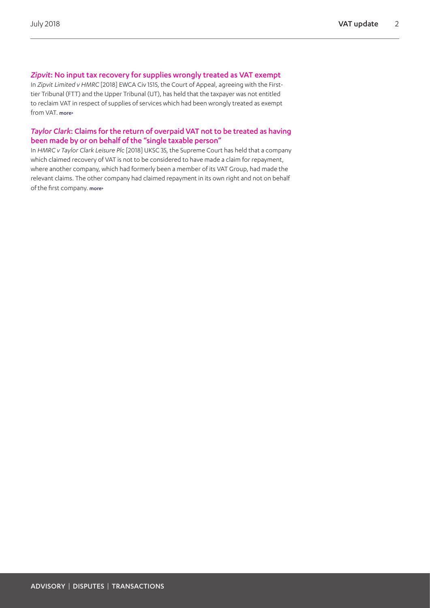# *Zipvit*: No input tax recovery for supplies wrongly treated as VAT exempt

In *Zipvit Limited v HMRC* [2018] EWCA Civ 1515, the Court of Appeal, agreeing with the Firsttier Tribunal (FTT) and the Upper Tribunal (UT), has held that the taxpayer was not entitled to reclaim VAT in respect of supplies of services which had been wrongly treated as exempt from VAT. [more>](#page-5-0)

# *Taylor Clark*: Claims for the return of overpaid VAT not to be treated as having been made by or on behalf of the "single taxable person"

In *HMRC v Taylor Clark Leisure Plc* [2018] UKSC 35, the Supreme Court has held that a company which claimed recovery of VAT is not to be considered to have made a claim for repayment, where another company, which had formerly been a member of its VAT Group, had made the relevant claims. The other company had claimed repayment in its own right and not on behalf of the first company. [more>](#page-7-0)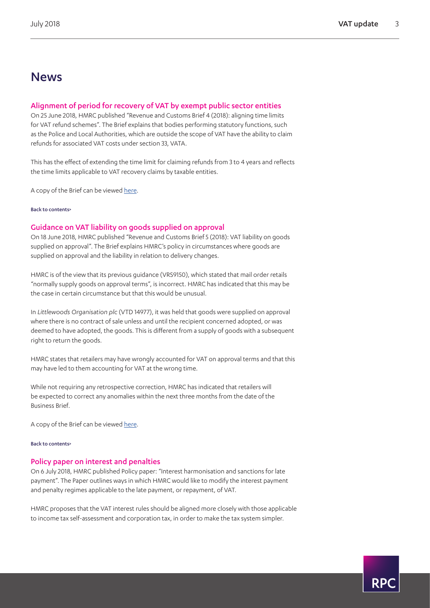# News

# <span id="page-2-0"></span>Alignment of period for recovery of VAT by exempt public sector entities

On 25 June 2018, HMRC published "Revenue and Customs Brief 4 (2018): aligning time limits for VAT refund schemes". The Brief explains that bodies performing statutory functions, such as the Police and Local Authorities, which are outside the scope of VAT have the ability to claim refunds for associated VAT costs under section 33, VATA.

This has the effect of extending the time limit for claiming refunds from 3 to 4 years and reflects the time limits applicable to VAT recovery claims by taxable entities.

A copy of the Brief can be viewed [here](https://www.gov.uk/guidance/revenue-and-customs-brief-4-2018-aligning-time-limits-for-vat-refund-schemes).

#### [Back to contents>](#page-0-0)

#### <span id="page-2-1"></span>Guidance on VAT liability on goods supplied on approval

On 18 June 2018, HMRC published "Revenue and Customs Brief 5 (2018): VAT liability on goods supplied on approval". The Brief explains HMRC's policy in circumstances where goods are supplied on approval and the liability in relation to delivery changes.

HMRC is of the view that its previous guidance (VRS9150), which stated that mail order retails "normally supply goods on approval terms", is incorrect. HMRC has indicated that this may be the case in certain circumstance but that this would be unusual.

In *Littlewoods Organisation plc* (VTD 14977), it was held that goods were supplied on approval where there is no contract of sale unless and until the recipient concerned adopted, or was deemed to have adopted, the goods. This is different from a supply of goods with a subsequent right to return the goods.

HMRC states that retailers may have wrongly accounted for VAT on approval terms and that this may have led to them accounting for VAT at the wrong time.

While not requiring any retrospective correction, HMRC has indicated that retailers will be expected to correct any anomalies within the next three months from the date of the Business Brief.

A copy of the Brief can be viewed [here](https://www.gov.uk/government/publications/revenue-and-customs-brief-5-2018-vat-liability-on-goods-supplied-on-approval/revenue-and-customs-brief-5-2018-vat-liability-on-goods-supplied-on-approval).

#### [Back to contents>](#page-0-0)

#### <span id="page-2-2"></span>Policy paper on interest and penalties

On 6 July 2018, HMRC published Policy paper: "Interest harmonisation and sanctions for late payment". The Paper outlines ways in which HMRC would like to modify the interest payment and penalty regimes applicable to the late payment, or repayment, of VAT.

HMRC proposes that the VAT interest rules should be aligned more closely with those applicable to income tax self-assessment and corporation tax, in order to make the tax system simpler.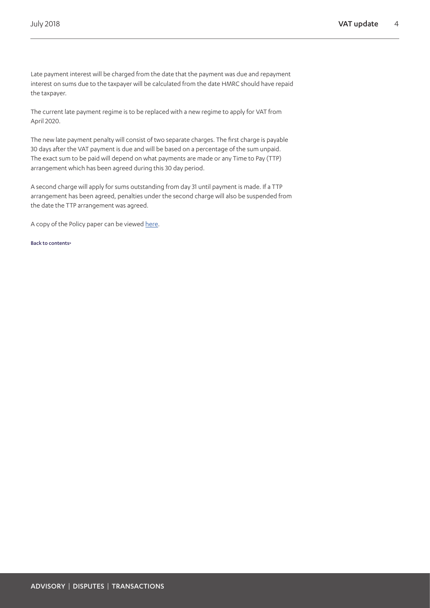Late payment interest will be charged from the date that the payment was due and repayment interest on sums due to the taxpayer will be calculated from the date HMRC should have repaid the taxpayer.

The current late payment regime is to be replaced with a new regime to apply for VAT from April 2020.

The new late payment penalty will consist of two separate charges. The first charge is payable 30 days after the VAT payment is due and will be based on a percentage of the sum unpaid. The exact sum to be paid will depend on what payments are made or any Time to Pay (TTP) arrangement which has been agreed during this 30 day period.

A second charge will apply for sums outstanding from day 31 until payment is made. If a TTP arrangement has been agreed, penalties under the second charge will also be suspended from the date the TTP arrangement was agreed.

A copy of the Policy paper can be viewed [here.](https://www.gov.uk/government/publications/interest-harmonisation-and-sanctions-for-late-payment/interest-harmonisation-and-sanctions-for-late-payment)

[Back to contents>](#page-0-0)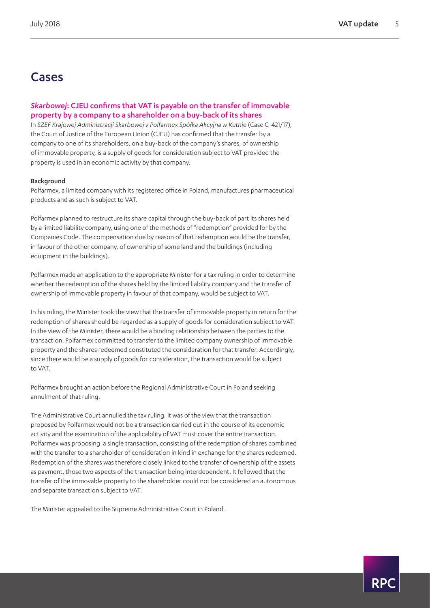# Cases

# <span id="page-4-0"></span>*Skarbowej*: CJEU confirms that VAT is payable on the transfer of immovable property by a company to a shareholder on a buy-back of its shares

In *SZEF Krajowej Administracji Skarbowej v Polfarmex Spółka Akcyjna w Kutnie* (Case C‑421/17), the Court of Justice of the European Union (CJEU) has confirmed that the transfer by a company to one of its shareholders, on a buy-back of the company's shares, of ownership of immovable property, is a supply of goods for consideration subject to VAT provided the property is used in an economic activity by that company.

#### Background

Polfarmex, a limited company with its registered office in Poland, manufactures pharmaceutical products and as such is subject to VAT.

Polfarmex planned to restructure its share capital through the buy-back of part its shares held by a limited liability company, using one of the methods of "redemption" provided for by the Companies Code. The compensation due by reason of that redemption would be the transfer, in favour of the other company, of ownership of some land and the buildings (including equipment in the buildings).

Polfarmex made an application to the appropriate Minister for a tax ruling in order to determine whether the redemption of the shares held by the limited liability company and the transfer of ownership of immovable property in favour of that company, would be subject to VAT.

In his ruling, the Minister took the view that the transfer of immovable property in return for the redemption of shares should be regarded as a supply of goods for consideration subject to VAT. In the view of the Minister, there would be a binding relationship between the parties to the transaction. Polfarmex committed to transfer to the limited company ownership of immovable property and the shares redeemed constituted the consideration for that transfer. Accordingly, since there would be a supply of goods for consideration, the transaction would be subject to VAT.

Polfarmex brought an action before the Regional Administrative Court in Poland seeking annulment of that ruling.

The Administrative Court annulled the tax ruling. It was of the view that the transaction proposed by Polfarmex would not be a transaction carried out in the course of its economic activity and the examination of the applicability of VAT must cover the entire transaction. Polfarmex was proposing a single transaction, consisting of the redemption of shares combined with the transfer to a shareholder of consideration in kind in exchange for the shares redeemed. Redemption of the shares was therefore closely linked to the transfer of ownership of the assets as payment, those two aspects of the transaction being interdependent. It followed that the transfer of the immovable property to the shareholder could not be considered an autonomous and separate transaction subject to VAT.

The Minister appealed to the Supreme Administrative Court in Poland.

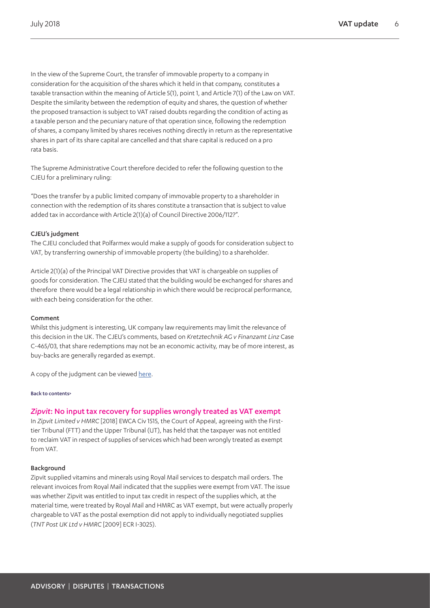In the view of the Supreme Court, the transfer of immovable property to a company in consideration for the acquisition of the shares which it held in that company, constitutes a taxable transaction within the meaning of Article 5(1), point 1, and Article 7(1) of the Law on VAT. Despite the similarity between the redemption of equity and shares, the question of whether the proposed transaction is subject to VAT raised doubts regarding the condition of acting as a taxable person and the pecuniary nature of that operation since, following the redemption of shares, a company limited by shares receives nothing directly in return as the representative shares in part of its share capital are cancelled and that share capital is reduced on a pro rata basis.

The Supreme Administrative Court therefore decided to refer the following question to the CJEU for a preliminary ruling:

"Does the transfer by a public limited company of immovable property to a shareholder in connection with the redemption of its shares constitute a transaction that is subject to value added tax in accordance with Article 2(1)(a) of Council Directive 2006/112?".

#### CJEU's judgment

The CJEU concluded that Polfarmex would make a supply of goods for consideration subject to VAT, by transferring ownership of immovable property (the building) to a shareholder.

Article 2(1)(a) of the Principal VAT Directive provides that VAT is chargeable on supplies of goods for consideration. The CJEU stated that the building would be exchanged for shares and therefore there would be a legal relationship in which there would be reciprocal performance, with each being consideration for the other.

#### Comment

Whilst this judgment is interesting, UK company law requirements may limit the relevance of this decision in the UK. The CJEU's comments, based on *Kretztechnik AG v Finanzamt Linz* Case C-465/03, that share redemptions may not be an economic activity, may be of more interest, as buy-backs are generally regarded as exempt.

A copy of the judgment can be viewed [here.](https://eur-lex.europa.eu/legal-content/EN/TXT/HTML/?uri=CELEX:62017CJ0421&from=EN)

#### [Back to contents>](#page-0-0)

#### <span id="page-5-0"></span>*Zipvit*: No input tax recovery for supplies wrongly treated as VAT exempt

In *Zipvit Limited v HMRC* [2018] EWCA Civ 1515, the Court of Appeal, agreeing with the Firsttier Tribunal (FTT) and the Upper Tribunal (UT), has held that the taxpayer was not entitled to reclaim VAT in respect of supplies of services which had been wrongly treated as exempt from VAT.

#### Background

Zipvit supplied vitamins and minerals using Royal Mail services to despatch mail orders. The relevant invoices from Royal Mail indicated that the supplies were exempt from VAT. The issue was whether Zipvit was entitled to input tax credit in respect of the supplies which, at the material time, were treated by Royal Mail and HMRC as VAT exempt, but were actually properly chargeable to VAT as the postal exemption did not apply to individually negotiated supplies (*TNT Post UK Ltd v HMRC* [2009] ECR I-3025).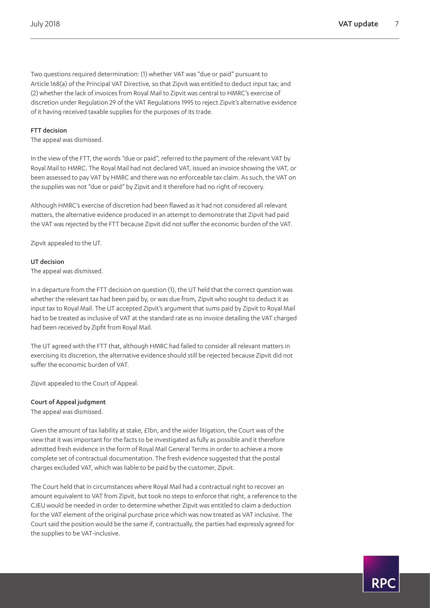Two questions required determination: (1) whether VAT was "due or paid" pursuant to Article 168(a) of the Principal VAT Directive, so that Zipvit was entitled to deduct input tax; and (2) whether the lack of invoices from Royal Mail to Zipvit was central to HMRC's exercise of discretion under Regulation 29 of the VAT Regulations 1995 to reject Zipvit's alternative evidence of it having received taxable supplies for the purposes of its trade.

### FTT decision

The appeal was dismissed.

In the view of the FTT, the words "due or paid", referred to the payment of the relevant VAT by Royal Mail to HMRC. The Royal Mail had not declared VAT, issued an invoice showing the VAT, or been assessed to pay VAT by HMRC and there was no enforceable tax claim. As such, the VAT on the supplies was not "due or paid" by Zipvit and it therefore had no right of recovery.

Although HMRC's exercise of discretion had been flawed as it had not considered all relevant matters, the alternative evidence produced in an attempt to demonstrate that Zipvit had paid the VAT was rejected by the FTT because Zipvit did not suffer the economic burden of the VAT.

Zipvit appealed to the UT.

# UT decision

The appeal was dismissed.

In a departure from the FTT decision on question (1), the UT held that the correct question was whether the relevant tax had been paid by, or was due from, Zipvit who sought to deduct it as input tax to Royal Mail. The UT accepted Zipvit's argument that sums paid by Zipvit to Royal Mail had to be treated as inclusive of VAT at the standard rate as no invoice detailing the VAT charged had been received by Zipfit from Royal Mail.

The UT agreed with the FTT that, although HMRC had failed to consider all relevant matters in exercising its discretion, the alternative evidence should still be rejected because Zipvit did not suffer the economic burden of VAT.

Zipvit appealed to the Court of Appeal.

Court of Appeal judgment

The appeal was dismissed.

Given the amount of tax liability at stake, £1bn, and the wider litigation, the Court was of the view that it was important for the facts to be investigated as fully as possible and it therefore admitted fresh evidence in the form of Royal Mail General Terms in order to achieve a more complete set of contractual documentation. The fresh evidence suggested that the postal charges excluded VAT, which was liable to be paid by the customer, Zipvit.

The Court held that in circumstances where Royal Mail had a contractual right to recover an amount equivalent to VAT from Zipvit, but took no steps to enforce that right, a reference to the CJEU would be needed in order to determine whether Zipvit was entitled to claim a deduction for the VAT element of the original purchase price which was now treated as VAT inclusive. The Court said the position would be the same if, contractually, the parties had expressly agreed for the supplies to be VAT-inclusive.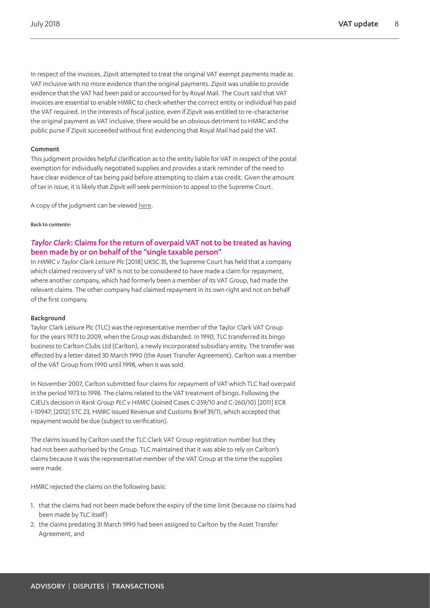In respect of the invoices, Zipvit attempted to treat the original VAT exempt payments made as VAT inclusive with no more evidence than the original payments. Zipvit was unable to provide evidence that the VAT had been paid or accounted for by Royal Mail. The Court said that VAT invoices are essential to enable HMRC to check whether the correct entity or individual has paid the VAT required. In the interests of fiscal justice, even if Zipvit was entitled to re-characterise the original payment as VAT inclusive, there would be an obvious detriment to HMRC and the public purse if Zipvit succeeded without first evidencing that Royal Mail had paid the VAT.

#### Comment

This judgment provides helpful clarification as to the entity liable for VAT in respect of the postal exemption for individually negotiated supplies and provides a stark reminder of the need to have clear evidence of tax being paid before attempting to claim a tax credit. Given the amount of tax in issue, it is likely that Zipvit will seek permission to appeal to the Supreme Court.

A copy of the judgment can be viewed [here.](http://www.bailii.org/ew/cases/EWCA/Civ/2018/1515.html)

#### [Back to contents>](#page-0-0)

# <span id="page-7-0"></span>*Taylor Clark*: Claims for the return of overpaid VAT not to be treated as having been made by or on behalf of the "single taxable person"

In *HMRC v Taylor Clark Leisure Plc* [2018] UKSC 35, the Supreme Court has held that a company which claimed recovery of VAT is not to be considered to have made a claim for repayment, where another company, which had formerly been a member of its VAT Group, had made the relevant claims. The other company had claimed repayment in its own right and not on behalf of the first company.

#### Background

Taylor Clark Leisure Plc (TLC) was the representative member of the Taylor Clark VAT Group for the years 1973 to 2009, when the Group was disbanded. In 1990, TLC transferred its bingo business to Carlton Clubs Ltd (Carlton), a newly incorporated subsidiary entity. The transfer was effected by a letter dated 30 March 1990 (the Asset Transfer Agreement). Carlton was a member of the VAT Group from 1990 until 1998, when it was sold.

In November 2007, Carlton submitted four claims for repayment of VAT which TLC had overpaid in the period 1973 to 1998. The claims related to the VAT treatment of bingo. Following the CJEU's decision in *Rank Group PLC v HMRC* (Joined Cases C-259/10 and C-260/10) [2011] ECR I-10947; [2012] STC 23, HMRC issued Revenue and Customs Brief 39/11, which accepted that repayment would be due (subject to verification).

The claims issued by Carlton used the TLC Clark VAT Group registration number but they had not been authorised by the Group. TLC maintained that it was able to rely on Carlton's claims because it was the representative member of the VAT Group at the time the supplies were made.

HMRC rejected the claims on the following basis:

- 1. that the claims had not been made before the expiry of the time limit (because no claims had been made by TLC itself)
- 2. the claims predating 31 March 1990 had been assigned to Carlton by the Asset Transfer Agreement, and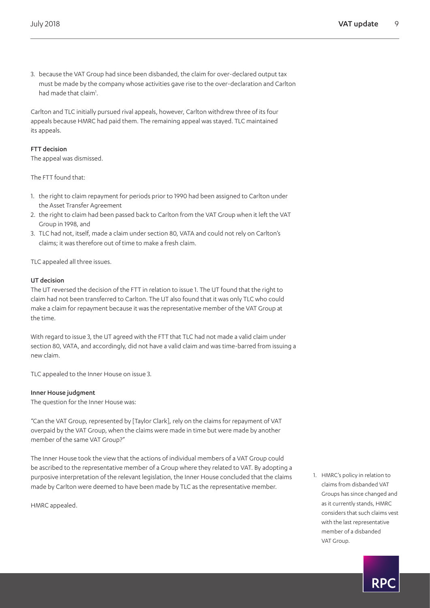3. because the VAT Group had since been disbanded, the claim for over-declared output tax must be made by the company whose activities gave rise to the over-declaration and Carlton had made that claim<sup>[1](#page-8-0)</sup>.

Carlton and TLC initially pursued rival appeals, however, Carlton withdrew three of its four appeals because HMRC had paid them. The remaining appeal was stayed. TLC maintained its appeals.

### FTT decision

The appeal was dismissed.

The FTT found that:

- 1. the right to claim repayment for periods prior to 1990 had been assigned to Carlton under the Asset Transfer Agreement
- 2. the right to claim had been passed back to Carlton from the VAT Group when it left the VAT Group in 1998, and
- 3. TLC had not, itself, made a claim under section 80, VATA and could not rely on Carlton's claims; it was therefore out of time to make a fresh claim.

TLC appealed all three issues.

#### UT decision

The UT reversed the decision of the FTT in relation to issue 1. The UT found that the right to claim had not been transferred to Carlton. The UT also found that it was only TLC who could make a claim for repayment because it was the representative member of the VAT Group at the time.

With regard to issue 3, the UT agreed with the FTT that TLC had not made a valid claim under section 80, VATA, and accordingly, did not have a valid claim and was time-barred from issuing a new claim.

TLC appealed to the Inner House on issue 3.

#### Inner House judgment

The question for the Inner House was:

"Can the VAT Group, represented by [Taylor Clark], rely on the claims for repayment of VAT overpaid by the VAT Group, when the claims were made in time but were made by another member of the same VAT Group?"

The Inner House took the view that the actions of individual members of a VAT Group could be ascribed to the representative member of a Group where they related to VAT. By adopting a purposive interpretation of the relevant legislation, the Inner House concluded that the claims made by Carlton were deemed to have been made by TLC as the representative member.

HMRC appealed.

<span id="page-8-0"></span>1. HMRC's policy in relation to claims from disbanded VAT Groups has since changed and as it currently stands, HMRC considers that such claims vest with the last representative member of a disbanded VAT Group.

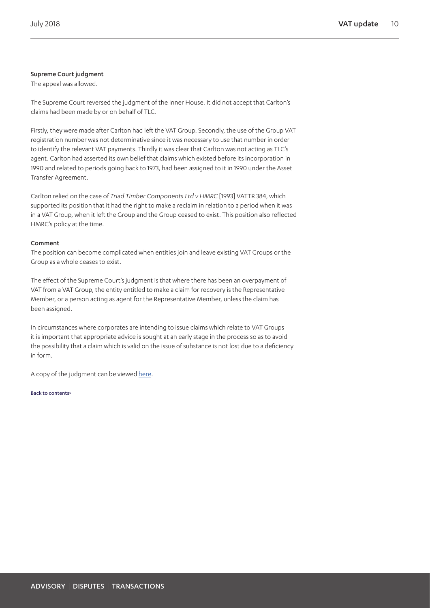# Supreme Court judgment

The appeal was allowed.

The Supreme Court reversed the judgment of the Inner House. It did not accept that Carlton's claims had been made by or on behalf of TLC.

Firstly, they were made after Carlton had left the VAT Group. Secondly, the use of the Group VAT registration number was not determinative since it was necessary to use that number in order to identify the relevant VAT payments. Thirdly it was clear that Carlton was not acting as TLC's agent. Carlton had asserted its own belief that claims which existed before its incorporation in 1990 and related to periods going back to 1973, had been assigned to it in 1990 under the Asset Transfer Agreement.

Carlton relied on the case of *Triad Timber Components Ltd v HMRC* [1993] VATTR 384, which supported its position that it had the right to make a reclaim in relation to a period when it was in a VAT Group, when it left the Group and the Group ceased to exist. This position also reflected HMRC's policy at the time.

# Comment

The position can become complicated when entities join and leave existing VAT Groups or the Group as a whole ceases to exist.

The effect of the Supreme Court's judgment is that where there has been an overpayment of VAT from a VAT Group, the entity entitled to make a claim for recovery is the Representative Member, or a person acting as agent for the Representative Member, unless the claim has been assigned.

In circumstances where corporates are intending to issue claims which relate to VAT Groups it is important that appropriate advice is sought at an early stage in the process so as to avoid the possibility that a claim which is valid on the issue of substance is not lost due to a deficiency in form.

A copy of the judgment can be viewed [here.](https://www.supremecourt.uk/cases/docs/uksc-2016-0204-judgment.pdf)

[Back to contents>](#page-0-0)